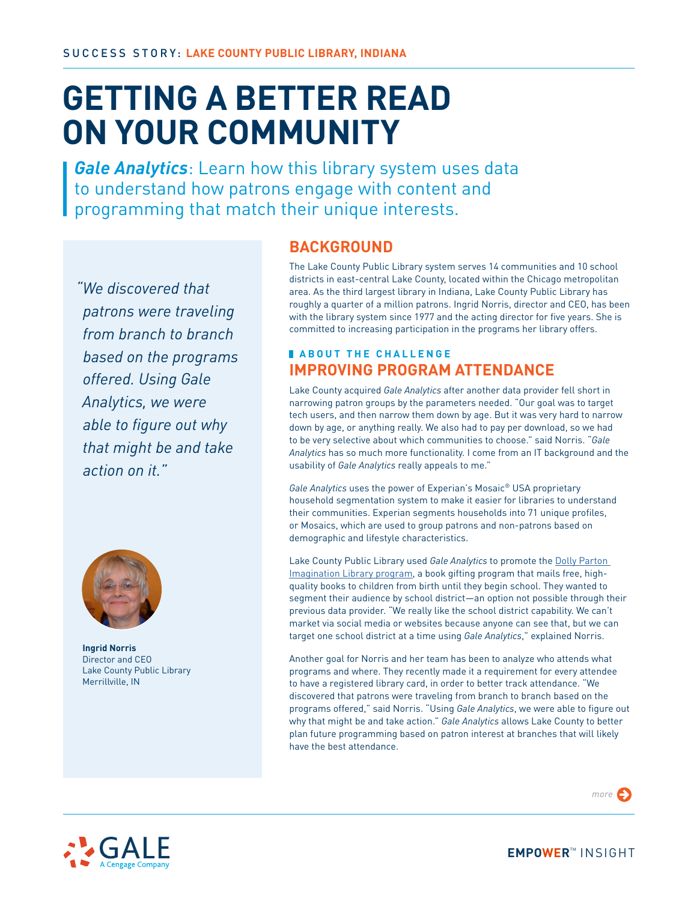# **GETTING A BETTER READ ON YOUR COMMUNITY**

*Gale Analytics*: Learn how this library system uses data to understand how patrons engage with content and programming that match their unique interests.

*"We discovered that patrons were traveling from branch to branch based on the programs offered. Using Gale Analytics, we were able to figure out why that might be and take action on it."*



**Ingrid Norris** Director and CEO Lake County Public Library Merrillville, IN

# **BACKGROUND**

The Lake County Public Library system serves 14 communities and 10 school districts in east-central Lake County, located within the Chicago metropolitan area. As the third largest library in Indiana, Lake County Public Library has roughly a quarter of a million patrons. Ingrid Norris, director and CEO, has been with the library system since 1977 and the acting director for five years. She is committed to increasing participation in the programs her library offers.

## **ABOUT THE CHALLENGE IMPROVING PROGRAM ATTENDANCE**

Lake County acquired *Gale Analytics* after another data provider fell short in narrowing patron groups by the parameters needed. "Our goal was to target tech users, and then narrow them down by age. But it was very hard to narrow down by age, or anything really. We also had to pay per download, so we had to be very selective about which communities to choose." said Norris. "*Gale Analytics* has so much more functionality. I come from an IT background and the usability of *Gale Analytics* really appeals to me."

*Gale Analytics* uses the power of Experian's Mosaic® USA proprietary household segmentation system to make it easier for libraries to understand their communities. Experian segments households into 71 unique profiles, or Mosaics, which are used to group patrons and non-patrons based on demographic and lifestyle characteristics.

Lake County Public Library used *Gale Analytics* to promote the [Dolly Parton](https://imaginationlibrary.com/about-us)  [Imagination Library program,](https://imaginationlibrary.com/about-us) a book gifting program that mails free, highquality books to children from birth until they begin school. They wanted to segment their audience by school district—an option not possible through their previous data provider. "We really like the school district capability. We can't market via social media or websites because anyone can see that, but we can target one school district at a time using *Gale Analytics*," explained Norris.

Another goal for Norris and her team has been to analyze who attends what programs and where. They recently made it a requirement for every attendee to have a registered library card, in order to better track attendance. "We discovered that patrons were traveling from branch to branch based on the programs offered," said Norris. "Using *Gale Analytics*, we were able to figure out why that might be and take action." *Gale Analytics* allows Lake County to better plan future programming based on patron interest at branches that will likely have the best attendance.